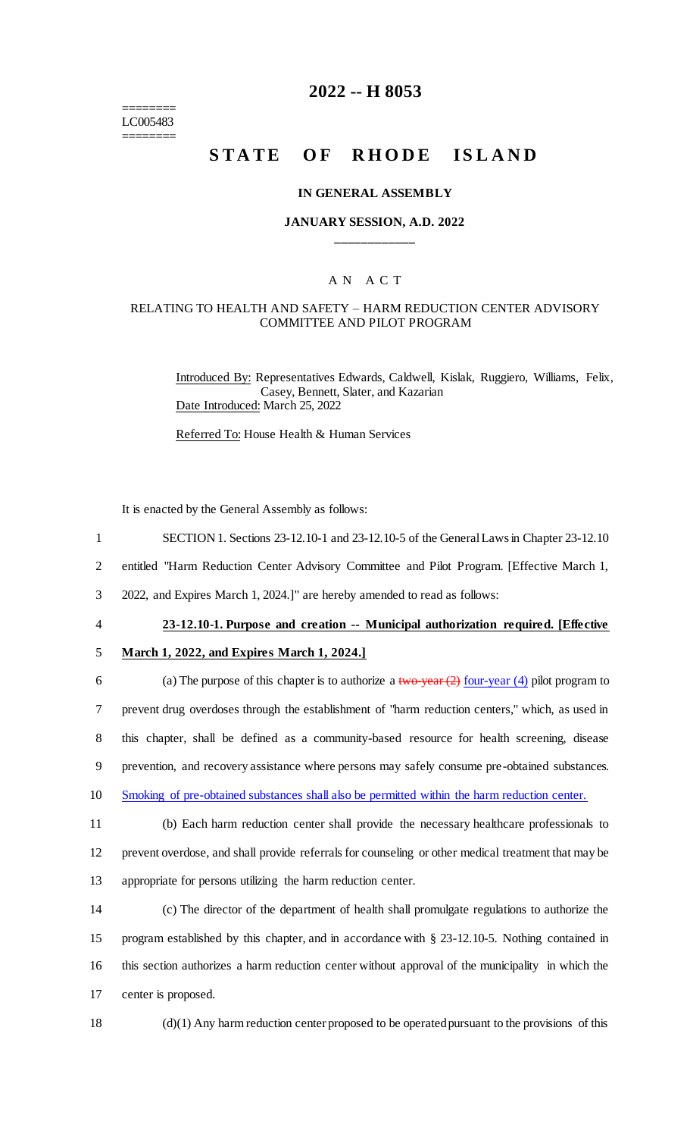======== LC005483 ========

# **2022 -- H 8053**

# **STATE OF RHODE ISLAND**

### **IN GENERAL ASSEMBLY**

## **JANUARY SESSION, A.D. 2022 \_\_\_\_\_\_\_\_\_\_\_\_**

## A N A C T

## RELATING TO HEALTH AND SAFETY – HARM REDUCTION CENTER ADVISORY COMMITTEE AND PILOT PROGRAM

Introduced By: Representatives Edwards, Caldwell, Kislak, Ruggiero, Williams, Felix, Casey, Bennett, Slater, and Kazarian Date Introduced: March 25, 2022

Referred To: House Health & Human Services

It is enacted by the General Assembly as follows:

- 1 SECTION 1. Sections 23-12.10-1 and 23-12.10-5 of the General Laws in Chapter 23-12.10
- 2 entitled "Harm Reduction Center Advisory Committee and Pilot Program. [Effective March 1,

3 2022, and Expires March 1, 2024.]" are hereby amended to read as follows:

#### 4 **23-12.10-1. Purpose and creation -- Municipal authorization required. [Effective**

#### 5 **March 1, 2022, and Expires March 1, 2024.]**

6 (a) The purpose of this chapter is to authorize a two-year  $(2)$  four-year  $(4)$  pilot program to prevent drug overdoses through the establishment of "harm reduction centers," which, as used in this chapter, shall be defined as a community-based resource for health screening, disease prevention, and recovery assistance where persons may safely consume pre-obtained substances. Smoking of pre-obtained substances shall also be permitted within the harm reduction center.

11 (b) Each harm reduction center shall provide the necessary healthcare professionals to

12 prevent overdose, and shall provide referrals for counseling or other medical treatment that may be

13 appropriate for persons utilizing the harm reduction center.

 (c) The director of the department of health shall promulgate regulations to authorize the program established by this chapter, and in accordance with § 23-12.10-5. Nothing contained in this section authorizes a harm reduction center without approval of the municipality in which the center is proposed.

18 (d)(1) Any harm reduction center proposed to be operated pursuant to the provisions of this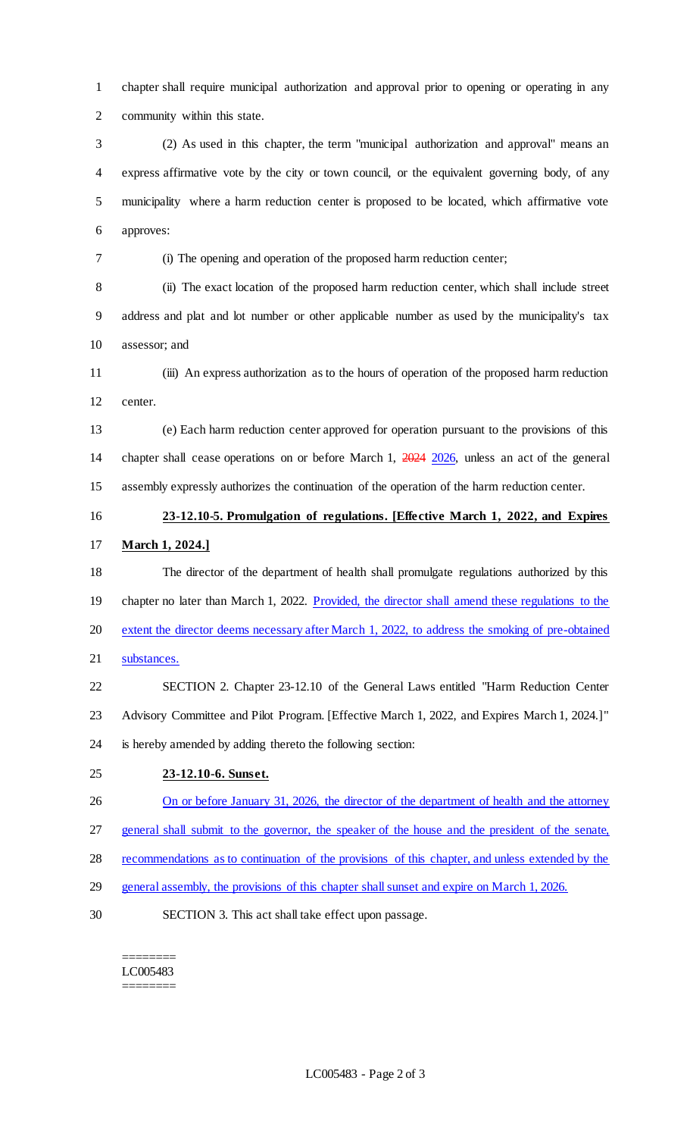chapter shall require municipal authorization and approval prior to opening or operating in any community within this state.

 (2) As used in this chapter, the term "municipal authorization and approval" means an express affirmative vote by the city or town council, or the equivalent governing body, of any municipality where a harm reduction center is proposed to be located, which affirmative vote approves:

(i) The opening and operation of the proposed harm reduction center;

 (ii) The exact location of the proposed harm reduction center, which shall include street address and plat and lot number or other applicable number as used by the municipality's tax assessor; and

 (iii) An express authorization as to the hours of operation of the proposed harm reduction center.

 (e) Each harm reduction center approved for operation pursuant to the provisions of this chapter shall cease operations on or before March 1, 2024 2026, unless an act of the general assembly expressly authorizes the continuation of the operation of the harm reduction center.

# **23-12.10-5. Promulgation of regulations. [Effective March 1, 2022, and Expires March 1, 2024.]**

- The director of the department of health shall promulgate regulations authorized by this 19 chapter no later than March 1, 2022. Provided, the director shall amend these regulations to the extent the director deems necessary after March 1, 2022, to address the smoking of pre-obtained substances.
- SECTION 2. Chapter 23-12.10 of the General Laws entitled "Harm Reduction Center Advisory Committee and Pilot Program. [Effective March 1, 2022, and Expires March 1, 2024.]" is hereby amended by adding thereto the following section:

## **23-12.10-6. Sunset.**

- 26 On or before January 31, 2026, the director of the department of health and the attorney general shall submit to the governor, the speaker of the house and the president of the senate,
- recommendations as to continuation of the provisions of this chapter, and unless extended by the
- general assembly, the provisions of this chapter shall sunset and expire on March 1, 2026.
- SECTION 3. This act shall take effect upon passage.

### ======== LC005483